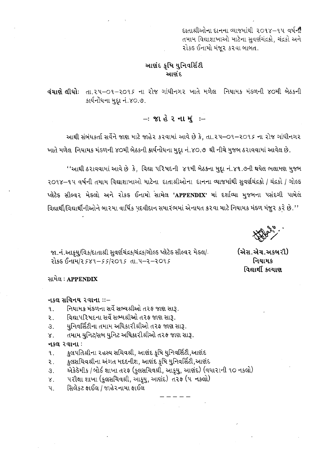દાતાશ્રીઓના દાનના વ્યાજમાંથી ૨૦૧૪–૧૫ વર્ષની તમામ વિદ્યાશાખાઓ માટેના સુવર્ણચંદ્રકો, ચંદ્રકો અને રોકડ ઈનામો મંજૂર કરવા બાબત.

## આશંદ કૃષિ યુનિવર્સિટી આશંદ

quilt **dl ii: c1.2 <sup>1</sup> 1-09.-209.5** R1°K 3 1Lqa■-t.3 12 vilcl 1-1.a1.1. 4,5A-11. કાર્યનોધના મુદૃા નં.૪૦.૭.

 $-$ : જાહેરનામું :-

આથી સંબંધકર્તા સર્વેને જાણ માટે જાહેર કરવામાં આવે છે કે, તા.૨૫–૦૧–૨૦૧૬ ના રોજ ગાંધીનગર ખાતે મળેલ નિયામક મંડળની ૪૦મી બેઠકની કાર્યનોધના મુદૃા નં.૪૦.૭ થી નીચે મુજબ ઠરાવવામાં આવેલ છે.

 $"$ આથી ઠરાવવામાં આવે છે કે, વિદ્યા પરિષદની ૪૧મી બેઠકના મુદ્દા નં.૪૧.૭ની થયેલ ભલામશ મુજબ 2018-14 વર્ષની તમામ વિદ્યાશાખાઓ માટેના દાતાશ્રીઓના દાનના વ્યાજમાંથી સુવર્ણચંદ્રકો / ચંદ્રકો / ગોલ્ડ પ્લેટેડ સીલ્વર મેડલો અને રોકડ ઈનામો સામેલ 'APPENDIX' માં દર્શાવ્યા મુજબના પસંદગી પામેલ વિદ્યાર્થી/વિદ્યાર્થીનીઓને બારમા વાર્ષિક પદવીદાન સમારંભમાં એનાયત કરવા માટે નિયામક મંડળ મંજુર કરે છે.''

(એસ.એચ.અકબરી) નિયામક વિદ્યાર્થી કલ્યાણ

જા.નં.આકૃયુ/વિક/દાતાશ્રી સુવર્ણચંદ્રક/ચંદ્રક/ગોલ્ડ પ્લેટેડ સીલ્વર મેડલ/. 2156 Su14/2589-55/2095 dl. 4-2-2095

સામેલ : APPENDIX

નકલ સવિનય ૨વાના ::-

- ૧. મિયામક મંડળના સર્વે સભ્યશ્રીઓ તરફ જાણ સારૂ.
- ૨. વિદ્યાપરિષદના સર્વે સભ્યશ્રીઓ તરફ જાણ સારૂ.
- યુનિવર્સિટીના તમામ અધિકારીશ્રીઓ તરફ જાણ સારૂ. a.
- તમામ યુનિટ/સબ યુનિટ અધિકારીશ્રીઓ તરફ જાણ સારૂ.  $X_{\tau}$

 $-1.49$   $-1.41$ :

- ૧. કુલપતિશ્રીના ૨હસ્ય સચિવશ્રી, આશંદ કૃષિ યુનિવર્સિટી,આશંદ
- કુલસચિવશ્રીના અંગત મદદનીશ, આણંદ કૃષિ યુનિવર્સિટી,આણંદ ૨.
- ૩. એકેડેમીક / બોર્ડ શાખા ત૨ક (કુલસચિવશ્રી, આકુયુ, આશંદ) (વધા૨ાની ૧૦ નકલો)
- ૪. પરીક્ષા શાખા (કુલસચિવશ્રી, આકુયુ, આણંદ) ત૨ફ (૫ નકલો)
- સિલેકટ ફાઈલ / જાહેરનામા ફાઈલ  $\mathbf{u}$ .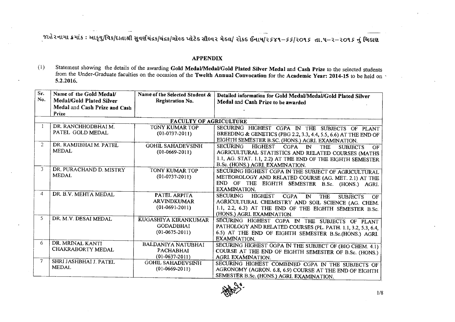<sub>્</sub>જાહે૨નામા ક્રમાંક : આકૃયુ/વિક/દાતાશ્રી સુવર્જ્ઞચંદ્રક/ચંદ્રક/ગોલ્ડ પ્લેટેડ સીલ્વ૨ મેડલ/ રોકડ ઈનામ/૨*૬*૪૧–*૬૬*/૨૦૧*૬* તા.૫–૨–૨૦૧*૬* નું બિડાજ્ઞ

## **APPENDIX**

(1) Statement showing the details of the awarding Gold Medal/Medal/Gold Plated Silver Medal and Cash Prize to the selected students from the Under-Graduate faculties on the occasion of the **Twelth Annual Convocation** for the Academic Year: 2014-15 to be held on 5.2.2016.

| Sr.<br>No.     | Name of the Gold Medal/<br>Medal/Gold Plated Silver | Name of the Selected Student &<br>Registration No. | Detailed information for Gold Medal/Medal/Gold Plated Silver<br>Medal and Cash Prize to be awarded       |
|----------------|-----------------------------------------------------|----------------------------------------------------|----------------------------------------------------------------------------------------------------------|
|                | Medal and Cash Prize and Cash<br>Prize              |                                                    |                                                                                                          |
|                |                                                     |                                                    |                                                                                                          |
|                | DR. RANCHHODBHAI M.                                 | <b>FACULTY OF AGRICULTURE</b>                      |                                                                                                          |
|                | PATEL GOLD MEDAL                                    | <b>TONY KUMAR TOP</b>                              | SECURING HIGHEST CGPA IN THE SUBJECTS OF PLANT                                                           |
|                |                                                     | $(01-0737-2011)$                                   | BREEDING & GENETICS (PBG 2.2, 3.3, 4.4, 5.5, 6.6) AT THE END OF                                          |
| $\overline{2}$ |                                                     |                                                    | EIGHTH SEMESTER B.SC. (HONS.) AGRI. EXAMINATION.                                                         |
|                | DR. RAMJIBHAI M. PATEL                              | <b>GOHIL SAHADEVSINH</b>                           | <b>SECURING</b><br><b>HIGHEST</b><br><b>CGPA</b><br>$\mathbb{N}$<br><b>THE</b><br><b>SUBJECTS</b><br>OF  |
|                | <b>MEDAL</b>                                        | $(01-0669-2011)$                                   | AGRICULTURAL STATISTICS AND RELATED COURSES (MATHS                                                       |
|                |                                                     |                                                    | 1.1, AG. STAT. 1.1, 2.2) AT THE END OF THE EIGHTH SEMESTER                                               |
| 3              |                                                     |                                                    | B.Sc. (HONS.) AGRI. EXAMINATION.                                                                         |
|                | DR. PURACHAND D. MISTRY                             | TONY KUMAR TOP                                     | SECURING HIGHEST CGPA IN THE SUBJECT OF AGRICULTURAL                                                     |
|                | <b>MEDAL</b>                                        | $(01-0737-2011)$                                   | METEOROLOGY AND RELATED COURSE (AG. MET. 2.1) AT THE                                                     |
|                |                                                     |                                                    | END OF THE EIGHTH SEMESTER B.Sc. (HONS.) AGRI.                                                           |
|                |                                                     |                                                    | <b>EXAMINATION.</b>                                                                                      |
| 4              | DR. B.V. MEHTA MEDAL                                | PATEL ARPITA                                       | <b>SECURING</b><br><b>HIGHEST</b><br><b>CGPA</b><br><b>THE</b><br>$\mathbb{N}$<br><b>SUBJECTS</b><br>OF. |
|                |                                                     | <b>ARVINDKUMAR</b>                                 | AGRICULTURAL CHEMISTRY AND SOIL SCIENCE (AG. CHEM.                                                       |
|                |                                                     | $(01-0691-2011)$                                   | 1.1, 2.2, 6.3) AT THE END OF THE EIGHTH SEMESTER B.Sc.                                                   |
|                |                                                     |                                                    | (HONS.) AGRI. EXAMINATION.                                                                               |
| 5.             | DR. M.V. DESAI MEDAL                                | KUGASHIYA KIRANKUMAR                               | SECURING HIGHEST CGPA IN THE SUBJECTS OF PLANT                                                           |
|                |                                                     | <b>GODADBHAI</b>                                   | PATHOLOGY AND RELATED COURSES (PL. PATH. 1.1, 3.2, 5.3, 6.4,                                             |
|                |                                                     | $(01-0675-2011)$                                   | 6.5) AT THE END OF EIGHTH SEMESTER B.Sc.(HONS.) AGRI.                                                    |
|                |                                                     |                                                    | <b>EXAMINATION.</b>                                                                                      |
| 6.             | DR. MRINAL KANTI                                    | <b>BALDANIYA NATUBHAI</b>                          | SECURING HIGHEST OGPA IN THE SUBJECT OF (BIO CHEM. 4.1)                                                  |
|                | CHAKRABORTY MEDAL                                   | PACHABHAI                                          | COURSE AT THE END OF EIGHTH SEMESTER OF B.Sc. (HONS.)                                                    |
|                |                                                     | $(01-0637-2011)$                                   | AGRI. EXAMINATION.                                                                                       |
| 7              | SHRI JASHBHAI J. PATEL                              | <b>GOHIL SAHADEVSINH</b>                           | SECURING HIGHEST COMBINED CGPA IN THE SUBJECTS OF                                                        |
|                | <b>MEDAL</b>                                        | $(01-0669-2011)$                                   | AGRONOMY (AGRON. 6.8, 6.9) COURSE AT THE END OF EIGHTH                                                   |
|                |                                                     |                                                    | SEMESTER B.Sc. (HONS.) AGRI. EXAMINATION.                                                                |

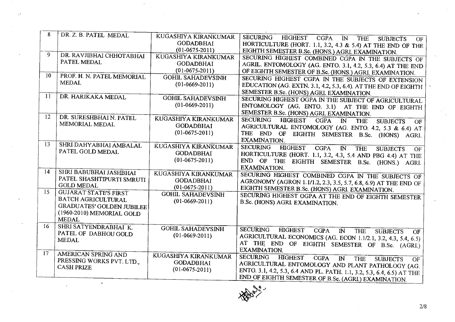| 8             | DR. Z. B. PATEL MEDAL            | KUGASHIYA KIRANKUMAR     | <b>SECURING</b><br>HIGHEST CGPA IN<br><b>THE</b>                                                                    |
|---------------|----------------------------------|--------------------------|---------------------------------------------------------------------------------------------------------------------|
|               |                                  | <b>GODADBHAI</b>         | <b>SUBJECTS</b><br><b>OF</b>                                                                                        |
|               |                                  | $(01-0675-2011)$         | HORTICULTURE (HORT. 1.1, 3.2, 4.3 & 5.4) AT THE END OF THE                                                          |
| 9             | DR. RAVJIBHAI CHHOTABHAI         | KUGASHIYA KIRANKUMAR     | EIGHTH SEMESTER B.Sc. (HONS.) AGRI. EXAMINATION.                                                                    |
|               | PATEL MEDAL                      | <b>GODADBHAI</b>         | SECURING HIGHEST COMBINED CGPA IN THE SUBJECTS OF                                                                   |
|               |                                  |                          | AGRIL. ENTOMOLOGY (AG. ENTO. 3.1, 4.2, 5.3, 6.4) AT THE END                                                         |
| 10            | PROF. H. N. PATEL MEMORIAL       | $(01-0675-2011)$         | OF EIGHTH SEMESTER OF B.Sc. (HONS.) AGRI. EXAMINATION.                                                              |
|               | <b>MEDAL</b>                     | <b>GOHIL SAHADEVSINH</b> | SECURING HIGHEST CGPA IN THE SUBJECTS OF EXTENSION                                                                  |
|               |                                  | $(01-0669-2011)$         | EDUCATION (AG. EXTN. 3.1, 4.2, 5.3, 6.4). AT THE END OF EIGHTH                                                      |
|               |                                  |                          | SEMESTER B.Sc. (HONS) AGRI. EXAMINATION.                                                                            |
| <sup>11</sup> | DR. HARIKAKA MEDAL               | <b>GOHIL SAHADEVSINH</b> | SECURING HIGHEST OGPA IN THE SUBJECT OF AGRICULTURAL                                                                |
|               |                                  | $(01-0669-2011)$         | ENTOMOLOGY (AG. ENTO. 3.1) AT THE END OF EIGHTH                                                                     |
|               |                                  |                          | SEMESTER B.Sc. (HONS) AGRI. EXAMINATION.                                                                            |
| 12            | DR. SURESHBHAIN. PATEL           | KUGASHIYA KIRANKUMAR     | <b>SECURING</b><br>HIGHEST<br><b>CGPA</b><br>$\mathbb{N}$<br><b>THE</b><br><b>SUBJECTS</b><br>OF                    |
|               | MEMORIAL MEDAL                   | <b>GODADBHAI</b>         | AGRICULTURAL ENTOMOLOGY (AG. ENTO. 4.2, 5.3 & 6.4) AT                                                               |
|               |                                  | $(01-0675-2011)$         | THE END OF EIGHTH SEMESTER B.Sc. (HONS) AGRI.                                                                       |
|               |                                  |                          | EXAMINATION.                                                                                                        |
| 13            | SHRI DAHYABHAI AMBALAL           | KUGASHIYA KIRANKUMAR     | <b>SECURING</b><br><b>HIGHEST</b><br><b>CGPA</b><br>$\mathbb{N}$                                                    |
|               | PATEL GOLD MEDAL                 | <b>GODADBHAI</b>         | <b>THE</b><br><b>SUBJECTS</b><br>OF                                                                                 |
|               |                                  | $(01-0675-2011)$         | HORTICULTURE (HORT. 1.1, 3.2, 4.3, 5.4 AND PBG 4.4) AT THE                                                          |
|               |                                  |                          | END OF THE EIGHTH SEMESTER B.Sc. (HONS.) AGRI.<br>EXAMINATION.                                                      |
| 14            | SHRI BABUBHAI JASHBHAI           | KUGASHIYA KIRANKUMAR     |                                                                                                                     |
|               | PATEL SHASHTIPURTI SMRUTI        | <b>GODADBHAI</b>         | SECURING HIGHEST COMBINED CGPA IN THE SUBJECTS OF                                                                   |
|               | <b>GOLD MEDAL</b>                | $(01-0675-2011)$         | AGRONOMY (AGRON 1.1/1.2, 2.3, 3.5, 5.7, 6.8, 6.9) AT THE END OF                                                     |
| 15            | <b>GUJARAT STATE'S FIRST</b>     | <b>GOHIL SAHADEVSINH</b> | EIGHTH SEMESTER B.Sc. (HONS) AGRI. EXAMINATION.                                                                     |
|               | <b>BATCH AGRICULTURAL</b>        | $(01-0669-2011)$         | SECURING HIGHEST OGPA AT THE END OF EIGHTH SEMESTER                                                                 |
|               | <b>GRADUATES' GOLDEN JUBILEE</b> |                          | B.Sc. (HONS) AGRI. EXAMINATION.                                                                                     |
|               | (1960-2010) MEMORIAL GOLD        |                          |                                                                                                                     |
|               | <b>MEDAL</b>                     |                          |                                                                                                                     |
| 16            | SHRI SATYENDRABHAI K.            |                          |                                                                                                                     |
|               | PATEL OF DABHOU GOLD             | <b>GOHIL SAHADEVSINH</b> | <b>SECURING</b><br><b>HIGHEST</b><br><b>CGPA</b><br>$\overline{\mathbb{N}}$<br><b>THE</b><br><b>SUBJECTS</b><br>OF. |
|               | <b>MEDAL</b>                     | $(01-0669-2011)$         | AGRICULTURAL ECONOMICS (AG. ECON 1.1/2.1, 3.2, 4.3, 5.4, 6.5)                                                       |
|               |                                  |                          | AT THE END OF EIGHTH SEMESTER OF B.Sc. (AGRI.)                                                                      |
| 17            |                                  |                          | EXAMINATION.                                                                                                        |
|               | AMERICAN SPRING AND              | KUGASHIYA KIRANKUMAR     | <b>SECURING</b><br><b>HIGHEST</b><br><b>CGPA</b><br>$\mathbb{N}$<br><b>THE</b><br><b>SUBJECTS</b><br>OF.            |
|               | PRESSING WORKS PVT. LTD.,        | <b>GODADBHAI</b>         | AGRICULTURAL ENTOMOLOGY AND PLANT PATHOLOGY (AG.                                                                    |
|               | <b>CASH PRIZE</b>                | $(01-0675-2011)$         | ENTO. 3.1, 4.2, 5.3, 6.4 AND PL. PATH. 1.1, 3.2, 5.3, 6.4, 6.5) AT THE                                              |
|               |                                  |                          | END OF EIGHTH SEMESTER OF B.Sc. (AGRI) EXAMINATION                                                                  |

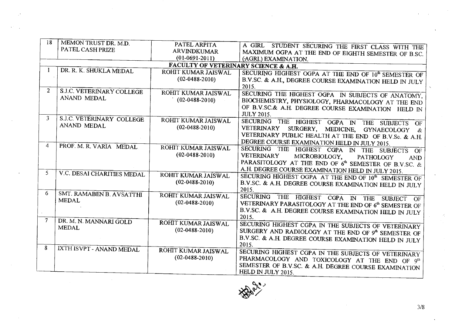| 18             | MEMON TRUST DR. M.D.       | PATEL ARPITA                         |                                                                   |
|----------------|----------------------------|--------------------------------------|-------------------------------------------------------------------|
|                | PATEL CASH PRIZE           |                                      | A GIRL STUDENT SECURING THE FIRST CLASS WITH THE                  |
|                |                            | <b>ARVINDKUMAR</b>                   | MAXIMUM OGPA AT THE END OF EIGHTH SEMESTER OF B.SC.               |
|                |                            | $(01-0691-2011)$                     | (AGRI.) EXAMINATION.                                              |
|                | DR. R. K. SHUKLA MEDAL     | FACULTY OF VETERINARY SCIENCE & A.H. |                                                                   |
|                |                            | ROHIT KUMAR JAISWAL                  | SECURING HIGHEST OGPA AT THE END OF 10th SEMESTER OF              |
|                |                            | $(02 - 0488 - 2010)$                 | B.V.SC. & A.H., DEGREE COURSE EXAMINATION HELD IN JULY            |
| $\overline{2}$ |                            |                                      | 2015.                                                             |
|                | S.J.C. VETERINARY COLLEGE  | ROHIT KUMAR JAISWAL                  | SECURING THE HIGHEST OGPA IN SUBJECTS OF ANATOMY,                 |
|                | ANAND MEDAL                | $(02-0488-2010)$                     | BIOCHEMISTRY, PHYSIOLOGY, PHARMACOLOGY AT THE END                 |
|                |                            |                                      | OF B.V.SC.& A.H. DEGREE COURSE EXAMINATION HELD IN                |
|                |                            |                                      | <b>JULY 2015.</b>                                                 |
| 3              | S.J.C. VETERINARY COLLEGE  | ROHIT KUMAR JAISWAL                  | SECURING THE HIGHEST OGPA IN<br>THE SUBJECTS                      |
|                | ANAND MEDAL                | $(02 - 0488 - 2010)$                 | OF<br>VETERINARY SURGERY, MEDICINE, GYNAECOLOGY &                 |
|                |                            |                                      | VETERINARY PUBLIC HEALTH AT THE END OF B.V.Sc. & A.H.             |
|                |                            |                                      | DEGREE COURSE EXAMINATION HELD IN JULY 2015.                      |
| $\mathbf{4}$   | PROF. M. R. VARIA MEDAL    | ROHIT KUMAR JAISWAL                  | SECURING THE HIGHEST CGPA IN THE SUBJECTS                         |
|                |                            | $(02 - 0488 - 2010)$                 | OF<br>VETERINARY<br>MICROBIOLOGY,                                 |
|                |                            |                                      | PATHOLOGY<br><b>AND</b>                                           |
|                |                            |                                      | PARASITOLOGY AT THE END OF 6 <sup>th</sup> SEMESTER OF B.V.SC. &  |
| 5.             | V.C. DESAI CHARITIES MEDAL | ROHIT KUMAR JAISWAL                  | A.H. DEGREE COURSE EXAMINATION HELD IN JULY 2015.                 |
|                |                            | $(02 - 0488 - 2010)$                 | SECURING HIGHEST OGPA AT THE END OF 10 <sup>th</sup> SEMESTER OF  |
|                |                            |                                      | B.V.SC. & A.H. DEGREE COURSE EXAMINATION HELD IN JULY<br>2015.    |
| 6.             | SMT. RAMABEN B. AVSATTHI   | ROHIT KUMAR JAISWAL                  |                                                                   |
|                | <b>MEDAL</b>               |                                      | SECURING THE HIGHEST CGPA IN THE SUBJECT OF                       |
|                |                            | $(02 - 0488 - 2010)$                 | VETERINARY PARASITOLOGY AT THE END OF 6 <sup>th</sup> SEMESTER OF |
|                |                            |                                      | B.V.SC. & A.H. DEGREE COURSE EXAMINATION HELD IN JULY             |
| 7              | DR. M. N. MANNARI GOLD     |                                      | 2015.                                                             |
|                | <b>MEDAL</b>               | ROHIT KUMAR JAISWAL                  | SECURING HIGHEST CGPA IN THE SUBJECTS OF VETERINARY               |
|                |                            | $(02 - 0488 - 2010)$                 | SURGERY AND RADIOLOGY AT THE END OF 9th SEMESTER OF               |
|                |                            |                                      | B.V.SC. & A.H. DEGREE COURSE EXAMINATION HELD IN JULY             |
| $\mathbf{R}$   |                            |                                      | 2015.                                                             |
|                | IXTH ISVPT - ANAND MEDAL   | ROHIT KUMAR JAISWAL                  | SECURING HIGHEST CGPA IN THE SUBJECTS OF VETERINARY               |
|                |                            | $(02-0488-2010)$                     | PHARMACOLOGY AND TOXICOLOGY AT THE END OF 9th                     |
|                |                            |                                      | SEMESTER OF B.V.SC. & A.H. DEGREE COURSE EXAMINATION              |
|                |                            |                                      | HELD IN JULY 2015.                                                |

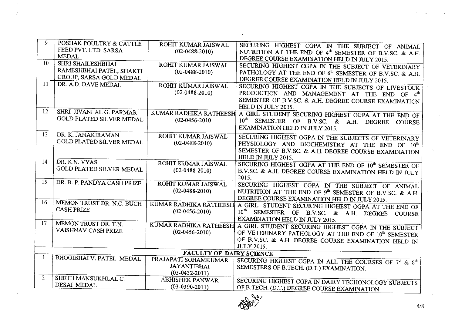| 9               | POSHAK POULTRY & CATTLE         | ROHIT KUMAR JAISWAL             | SECURING HIGHEST CGPA IN THE SUBJECT OF ANIMAL                                                |
|-----------------|---------------------------------|---------------------------------|-----------------------------------------------------------------------------------------------|
|                 | FEED PVT. LTD. SARSA            | $(02 - 0488 - 2010)$            | NUTRITION AT THE END OF 4th SEMESTER OF B.V.SC. & A.H.                                        |
|                 | <b>MEDAL</b>                    |                                 | DEGREE COURSE EXAMINATION HELD IN JULY 2015.                                                  |
| 10 <sup>°</sup> | <b>SHRI SHAILESHBHAI</b>        | ROHIT KUMAR JAISWAL             | SECURING HIGHEST CGPA IN THE SUBJECT OF VETERINARY                                            |
|                 | RAMESHBHAI PATEL, SHAKTI        | $(02-0488-2010)$                | PATHOLOGY AT THE END OF 6 <sup>th</sup> SEMESTER OF B.V.SC. & A.H.                            |
| 11              | GROUP, SARSA GOLD MEDAL         |                                 | DEGREE COURSE EXAMINATION HELD IN JULY 2015.                                                  |
|                 | DR. A.D. DAVE MEDAL             | ROHIT KUMAR JAISWAL             | SECURING HIGHEST CGPA IN THE SUBJECTS OF LIVESTOCK                                            |
|                 |                                 | $(02-0488-2010)$                | PRODUCTION AND MANAGEMENT AT THE END OF 4th                                                   |
|                 |                                 |                                 | SEMESTER OF B.V.SC. & A.H. DEGREE COURSE EXAMINATION                                          |
| 12              | SHRI JIVANLAL G. PARMAR         |                                 | HELD IN JULY 2015.                                                                            |
|                 | GOLD PLATED SILVER MEDAL        |                                 | KUMAR RADHIKA RATHEESH A GIRL STUDENT SECURING HIGHEST OGPA AT THE END OF                     |
|                 |                                 | $(02-0456-2010)$                | 10 <sup>th</sup> SEMESTER OF B.V.SC. & A.H.<br><b>DEGREE</b><br><b>COURSE</b>                 |
|                 |                                 |                                 | EXAMINATION HELD IN JULY 2015.                                                                |
| 13              | DR. K. JANAKIRAMAN              | ROHIT KUMAR JAISWAL             | SECURING HIGHEST OGPA IN THE SUBJECTS OF VETERINARY                                           |
|                 | <b>GOLD PLATED SILVER MEDAL</b> | $(02-0488-2010)$                | PHYSIOLOGY AND BIOCHEMISTRY AT THE END OF 10th                                                |
|                 |                                 |                                 | SEMESTER OF B.V.SC. & A.H. DEGREE COURSE EXAMINATION                                          |
| 14              |                                 |                                 | HELD IN JULY 2015.                                                                            |
|                 | DR. K.N. VYAS                   | ROHIT KUMAR JAISWAL             | SECURING HIGHEST OGPA AT THE END OF 10 <sup>th</sup> SEMESTER OF                              |
|                 | <b>GOLD PLATED SILVER MEDAL</b> | $(02 - 0488 - 2010)$            | B.V.SC. & A.H. DEGREE COURSE EXAMINATION HELD IN JULY                                         |
| 15              | DR. B. P. PANDYA CASH PRIZE     |                                 | 2015.                                                                                         |
|                 |                                 | ROHIT KUMAR JAISWAL             | SECURING HIGHEST CGPA IN THE SUBJECT OF ANIMAL                                                |
|                 |                                 | $(02-0488-2010)$                | NUTRITION AT THE END OF 9th SEMESTER OF B.V.SC. & A.H.                                        |
| 16              | MEMON TRUST DR. N.C. BUCH       |                                 | DEGREE COURSE EXAMINATION HELD IN JULY 2015.                                                  |
|                 | <b>CASH PRIZE</b>               | $(02-0456-2010)$                | KUMAR RADHIKA RATHEESH A GIRL STUDENT SECURING HIGHEST OGPA AT THE END OF<br>10 <sup>th</sup> |
|                 |                                 |                                 | SEMESTER OF B.V.SC. & A.H. DEGREE COURSE                                                      |
| 17              | MEMON TRUST DR. T.N.            |                                 | EXAMINATION HELD IN JULY 2015.                                                                |
|                 | VAISHNAV CASH PRIZE             | $(02-0456-2010)$                | KUMAR RADHIKA RATHEESH A GIRL STUDENT SECURING HIGHEST CGPA IN THE SUBJECT                    |
|                 |                                 |                                 | OF VETERINARY PATHOLOGY AT THE END OF 10th SEMESTER                                           |
|                 |                                 |                                 | OF B.V.SC. & A.H. DEGREE COURSE EXAMINATION HELD IN<br><b>JULY 2015.</b>                      |
|                 |                                 | <b>FACULTY OF DAIRY SCIENCE</b> |                                                                                               |
| $\mathbf{1}$    | <b>BHOGIBHAI V. PATEL MEDAL</b> | PRAJAPATI SOHAMKUMAR            | SECURING HIGHEST CGPA IN ALL THE COURSES OF 7th & 8th                                         |
|                 |                                 | <b>JAYANTIBHAI</b>              | SEMESTERS OF B.TECH. (D.T.) EXAMINATION.                                                      |
|                 |                                 | $(03-0432-2011)$                |                                                                                               |
| $\overline{2}$  | SHETH MANSUKHLAL C.             | <b>ABHISHEK PANWAR</b>          | SECURING HIGHEST CGPA IN DAIRY TECHONOLOGY SUBJECTS                                           |
|                 | DESAI MEDAL                     | $(03-0390-2011)$                | OF B.TECH. (D.T.) DEGREE COURSE EXAMINATION                                                   |

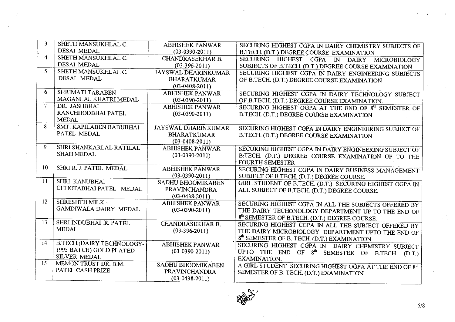| 3                           | SHETH MANSUKHLAL C.       | <b>ABHISHEK PANWAR</b>  | SECURING HIGHEST CGPA IN DAIRY CHEMISTRY SUBJECTS OF       |
|-----------------------------|---------------------------|-------------------------|------------------------------------------------------------|
|                             | <b>DESAI MEDAL</b>        | $(03-0390-2011)$        | B.TECH. (D.T.) DEGREE COURSE EXAMINATION                   |
| 4                           | SHETH MANSUKHLAL C.       | <b>CHANDRASEKHAR B.</b> | SECURING HIGHEST CGPA IN DAIRY MICROBIOLOGY                |
|                             | <b>DESAI MEDAL</b>        | $(03-396-2011)$         | SUBJECTS OF B.TECH. (D.T.) DEGREE COURSE EXAMINATION       |
| $\mathcal{F}_{\mathcal{F}}$ | SHETH MANSUKHLAL C.       | JAYSWAL DHARINKUMAR     | SECURING HIGHEST CGPA IN DAIRY ENGINEERING SUBJECTS        |
|                             | DESAI MEDAL               | <b>BHARATKUMAR</b>      | OF B.TECH. (D.T.) DEGREE COURSE EXAMINATION                |
|                             |                           | $(03 - 0408 - 2011)$    |                                                            |
| 6                           | SHRIMATI TARABEN          | <b>ABHISHEK PANWAR</b>  | SECURING HIGHEST CGPA IN DAIRY TECHNOLOGY SUBJECT          |
|                             | MAGANLAL KHATRI MEDAL     | $(03-0390-2011)$        | OF B.TECH. (D.T.) DEGREE COURSE EXAMINATION.               |
| $\tau$                      | DR. JASHBHAI              | <b>ABHISHEK PANWAR</b>  | SECURING HIGHEST OGPA AT THE END OF 8th SEMESTER OF        |
|                             | RANCHHODBHAI PATEL        | $(03-0390-2011)$        | B.TECH. (D.T.) DEGREE COURSE EXAMINATION                   |
|                             | <b>MEDAL</b>              |                         |                                                            |
| 8                           | SMT. KAPILABEN BABUBHAI   | JAYSWAL DHARINKUMAR     | SECURING HIGHEST CGPA IN DAIRY ENGINEERING SUBJECT OF      |
|                             | PATEL MEDAL               | <b>BHARATKUMAR</b>      | B.TECH. (D.T.) DEGREE COURSE EXAMINATION                   |
|                             |                           | $(03-0408-2011)$        |                                                            |
| 9                           | SHRI SHANKARLAL RATILAL   | <b>ABHISHEK PANWAR</b>  | SECURING HIGHEST CGPA IN DAIRY ENGINEERING SUBJECT OF      |
|                             | <b>SHAH MEDAL</b>         | $(03-0390-2011)$        | B:TECH. (D.T.) DEGREE COURSE EXAMINATION UP TO THE         |
|                             |                           |                         | <b>FOURTH SEMESTER</b>                                     |
| 10                          | SHRI R. J. PATEL MEDAL    | <b>ABHISHEK PANWAR</b>  | SECURING HIGHEST CGPA IN DAIRY BUSINESS MANAGEMENT         |
|                             |                           | $(03-0390-2011)$        | SUBJECT OF B.TECH. (D.T.) DEGREE COURSE.                   |
| $\overline{11}$             | SHRI KANUBHAI             | SADHU BHOOMIKABEN       | GIRL STUDENT OF B.TECH. (D.T.) SECURING HIGHEST OGPA IN    |
|                             | CHHOTABHAI PATEL MEDAL    | PRAVINCHANDRA           | ALL SUBJECT OF B.TECH. (D.T.) DEGREE COURSE.               |
|                             |                           | $(03-0438-2011)$        |                                                            |
| 12                          | SHRESHTH MILK -           | <b>ABHISHEK PANWAR</b>  | SECURING HIGHEST CGPA IN ALL THE SUBJECTS OFFERED BY       |
|                             | GAMDIWALA DAIRY MEDAL     | $(03-0390-2011)$        | THE DAIRY TECHONOLOGY DEPARTMENT UP TO THE END OF          |
|                             |                           |                         | 8 <sup>th</sup> SEMESTER OF B.TECH. (D.T.) DEGREE COURSE.  |
| 13                          | SHRI INDUBHAI .R. PATEL   | CHANDRASEKHAR B.        | SECURING HIGHEST CGPA IN ALL THE SUBJECT OFFERED BY        |
|                             | <b>MEDAL</b>              | $(03-396-2011)$         | THE DAIRY MICROBIOLOGY DEPARTMENT UPTO THE END OF          |
|                             |                           |                         | 8 <sup>th</sup> SEMESTER OF B. TECH. (D.T.) EXAMINATION    |
| 14                          | B.TECH.(DAIRY TECHNOLOGY- | <b>ABHISHEK PANWAR</b>  | SECURING HIGHEST CGPA IN DAIRY CHEMISTRY SUBJECT           |
|                             | 1995 BATCH) GOLD PLATED   | $(03-0390-2011)$        | UPTO THE END OF 8 <sup>th</sup> SEMESTER OF B.TECH. (D.T.) |
| 15                          | <b>SILVER MEDAL</b>       |                         | EXAMINATION.                                               |
|                             | MEMON TRUST DR. B.M.      | SADHU BHOOMIKABEN       | A GIRL STUDENT SECURING HIGHEST OGPA AT THE END OF 8th     |
|                             | PATEL CASH PRIZE          | <b>PRAVINCHANDRA</b>    | SEMESTER OF B. TECH. (D.T.) EXAMINATION                    |
|                             |                           | $(03-0438-2011)$        |                                                            |

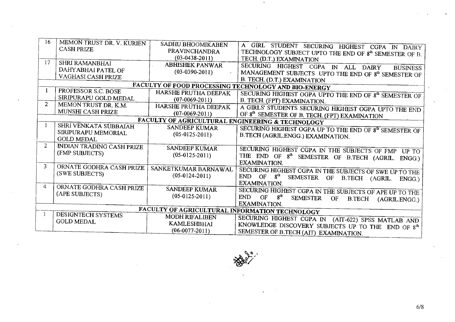| 16             | MEMON TRUST DR. V. KURIEN        | SADHU BHOOMIKABEN                              |                                                                                |
|----------------|----------------------------------|------------------------------------------------|--------------------------------------------------------------------------------|
|                | <b>CASH PRIZE</b>                |                                                | A GIRL STUDENT SECURING HIGHEST CGPA IN DAIRY                                  |
|                |                                  | PRAVINCHANDRA                                  | TECHNOLOGY SUBJECT UPTO THE END OF 8 <sup>th</sup> SEMESTER OF B.              |
| 17             |                                  | $(03-0438-2011)$                               | TECH. (D.T.) EXAMINATION                                                       |
|                | SHRI RAMANBHAI                   | <b>ABHISHEK PANWAR</b>                         | SECURING HIGHEST CGPA IN ALL DAIRY<br><b>BUSINESS</b>                          |
|                | DAHYABHAI PATEL OF               | $(03-0390-2011)$                               | MANAGEMENT SUBJECTS UPTO THE END OF 8th SEMESTER OF                            |
|                | VAGHASI CASH PRIZE               |                                                | B. TECH. (D.T.) EXAMINATION                                                    |
|                |                                  |                                                | FACULTY OF FOOD PROCESSING TECHNOLOGY AND BIO-ENERGY                           |
|                | PROFESSOR S.C. BOSE              | HARSHE PRUTHA DEEPAK                           | SECURING HIGHEST OGPA UPTO THE END OF 8 <sup>th</sup> SEMESTER OF              |
|                | SIRIPURAPU GOLD MEDAL            | $(07-0069-2011)$                               | B. TECH. (FPT) EXAMINATION.                                                    |
| $\overline{2}$ | MEMON TRUST DR. K.M.             | HARSHE PRUTHA DEEPAK                           |                                                                                |
|                | MUNSHI CASH PRIZE                |                                                | A GIRLS' STUDENTS SECURING HIGHEST OGPA UPTO THE END                           |
|                |                                  | $(07-0069-2011)$                               | OF 8 <sup>th</sup> SEMESTER OF B. TECH. (FPT) EXAMINATION                      |
|                | SHRI VENKATA SUBBAIAH            |                                                | FACULTY OF AGRICULTURAL ENGINEERING & TECHNOLOGY                               |
|                |                                  | <b>SANDEEP KUMAR</b>                           | SECURING HIGHEST OGPA UP TO THE END OF 8 <sup>th</sup> SEMESTER OF             |
|                | SIRIPURAPU MEMORIAL              | $(05-0125-2011)$                               | B.TECH (AGRIL.ENGG.) EXAMINATION.                                              |
|                | <b>GOLD MEDAL</b>                |                                                |                                                                                |
| $\mathcal{P}$  | <b>INDIAN TRADING CASH PRIZE</b> | <b>SANDEEP KUMAR</b>                           | SECURING HIGHEST CGPA IN THE SUBJECTS OF FMP<br>UP TO                          |
|                | (FMP SUBJECTS)                   | $(05-0125-2011)$                               | THE END OF 8 <sup>th</sup> SEMESTER OF B.TECH (AGRIL. ENGG.)                   |
|                |                                  |                                                | EXAMINATION.                                                                   |
| $\mathbf{3}$   | ORNATE GODHRA CASH PRIZE         | SANKETKUMAR BARNAWAL                           |                                                                                |
|                | (SWE SUBJECTS)                   | $(05-0124-2011)$                               | SECURING HIGHEST CGPA IN THE SUBJECTS OF SWE UP TO THE                         |
|                |                                  |                                                | END OF<br>$-8th$<br>SEMESTER OF B.TECH (AGRIL. ENGG.)                          |
| 4              | ORNATE GODHRA CASH PRIZE         |                                                | EXAMINATION.                                                                   |
|                | (APE SUBJECTS)                   | <b>SANDEEP KUMAR</b>                           | SECURING HIGHEST CGPA IN THE SUBJECTS OF APE UP TO THE                         |
|                |                                  | $(05-0125-2011)$                               | END.<br>8 <sup>th</sup><br>OF<br><b>SEMESTER</b><br>OF B.TECH<br>(AGRIL.ENGG.) |
|                |                                  |                                                | EXAMINATION.                                                                   |
|                |                                  | FACULTY OF AGRICULTURAL INFORMATION TECHNOLOGY |                                                                                |
|                | DESIGNTECH SYSTEMS               | <b>MODH RIFALIBEN</b>                          | SECURING HIGHEST CGPA IN (AIT-622) SPSS MATLAB AND                             |
|                | <b>GOLD MEDAL</b>                | KAMLESHBHAI                                    | KNOWLEDGE DISCOVERY SUBJECTS UP TO THE END OF 8th                              |
|                |                                  | $(06-0077-2011)$                               | SEMESTER OF B.TECH (AIT) EXAMINATION.                                          |
|                |                                  |                                                |                                                                                |

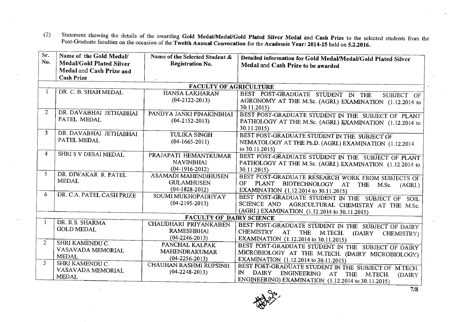(2) Statement showing the details of the awarding Gold Medal/Medal/Gold Plated Silver Medal and Cash Prize to the selected students from the Post-Graduate faculties on the occasion of the Twelth Annual Convocation for the

| Sr.            | Name of the Gold Medal/           | Name of the Selected Student &         | Detailed information for Gold Medal/Medal/Gold Plated Silver             |
|----------------|-----------------------------------|----------------------------------------|--------------------------------------------------------------------------|
| No.            | Medal/Gold Plated Silver          | Registration No.                       | Medal and Cash Prize to be awarded                                       |
|                | Medal and Cash Prize and          |                                        |                                                                          |
|                | <b>Cash Prize</b>                 |                                        |                                                                          |
|                |                                   | <b>FACULTY OF AGRICULTURE</b>          |                                                                          |
| $\mathbf{1}$   | DR. C. B. SHAH MEDAL              | <b>HANSA LAKHARAN</b>                  | BEST POST-GRADUATE STUDENT IN THE<br>SUBJECT OF                          |
|                |                                   | $(04-2122-2013)$                       | AGRONOMY AT THE M.Sc. (AGRI.) EXAMINATION (1.12.2014 to<br>30.11.2015    |
| $\overline{2}$ | DR. DAVABHAI JETHABHAI            | PANDYA JANKI PINAKINBHAI               | BEST POST-GRADUATE STUDENT IN THE SUBJECT OF PLANT                       |
|                | PATEL MEDAL                       | $(04-2152-2013)$                       | PATHOLOGY AT THE M.Sc. (AGRI.) EXAMINATION (1.12.2014 to                 |
|                |                                   |                                        | 30.11.2015)                                                              |
| 3              | DR. DAVABHAI JETHABHAI            | <b>TULIKA SINGH</b>                    | BEST POST-GRADUATE STUDENT IN THE SUBJECT OF                             |
|                | PATEL MEDAL                       | $(04-1665-2011)$                       | NEMATOLOGY AT THE Ph.D. (AGRI.) EXAMINATION (1.12.2014                   |
|                |                                   |                                        | to 30.11.2015)                                                           |
| 4              | SHRI S V DESAI MEDAL              | PRAJAPATI HEMANTKUMAR                  | BEST POST-GRADUATE STUDENT IN THE SUBJECT OF PLANT                       |
|                |                                   | <b>NAVINBHAI</b>                       | PATHOLOGY AT THE M.Sc. (AGRI.) EXAMINATION (1.12.2014 to                 |
| 5.             | DR. DIWAKAR R. PATEL              | $(04-1916-2012)$                       | 30.11.2015)                                                              |
|                | <b>MEDAL</b>                      | ASAMADI MAHENDIHUSEN                   | BEST POST-GRADUATE RESEARCH WORK FROM SUBJECTS OF                        |
|                |                                   | <b>GULAMHUSEN</b>                      | OF PLANT<br>BIOTECHNOLOGY AT<br><b>THE</b><br>M.Sc.<br>(AGRI.)           |
| 6              | DR. C.A. PATEL CASH PRIZE         | $(04-1828-2012)$<br>SOUMI MUKHOPADHYAY | EXAMINATION (1.12.2014 to 30.11.2015)                                    |
|                |                                   | $(04 - 2195 - 2013)$                   | BEST POST-GRADUATE STUDENT IN THE SUBJECT OF SOIL                        |
|                |                                   |                                        | SCIENCE AND AGRICULTURAL CHEMISTRY AT THE M.Sc.                          |
|                |                                   | <b>FACULTY OF DAIRY SCIENCE</b>        | (AGRI.) EXAMINATION (1.12.2014 to 30.11.2015)                            |
|                | DR. R.S. SHARMA                   | CHAUDHARI PRIYANKABEN                  | BEST POST-GRADUATE STUDENT IN THE SUBJECT OF DAIRY                       |
|                | <b>GOLD MEDAL</b>                 | <b>RAMESHBHAI</b>                      | <b>CHEMISTRY</b><br>AT<br><b>THE</b><br>M.TECH.<br>(DAIRY)<br>CHEMISTRY) |
|                |                                   | $(04 - 2246 - 2013)$                   | EXAMINATION (1.12.2014 to 30.11.2015)                                    |
| $\overline{2}$ | SHRI KAMENDU C.                   | PANCHAL KALPAK                         | BEST POST-GRADUATE STUDENT IN THE SUBJECT OF DAIRY                       |
|                | VASAVADA MEMORIAL                 | MAHENDRAKUMAR                          | MICROBIOLOGY AT THE M.TECH. (DAIRY MICROBIOLOGY)                         |
|                | <b>MEDAL</b>                      | $(04-2256-2013)$                       | EXAMINATION (1.12.2014 to 30.11.2015)                                    |
| 3              | SHRI KAMENDU C.                   | <b>CHAUHAN RASHMI RUPSINH</b>          | BEST POST-GRADUATE STUDENT IN THE SUBJECT OF M.TECH.                     |
|                | VASAVADA MEMORIAL<br><b>MEDAL</b> | $(04-2248-2013)$                       | IN<br><b>DAIRY</b><br>ENGINEERING AT<br><b>THE</b><br>M.TECH.<br>(DAIRY  |
|                |                                   |                                        | ENGINEERING) EXAMINATION (1.12.2014 to 30.11.2015)                       |

7/8